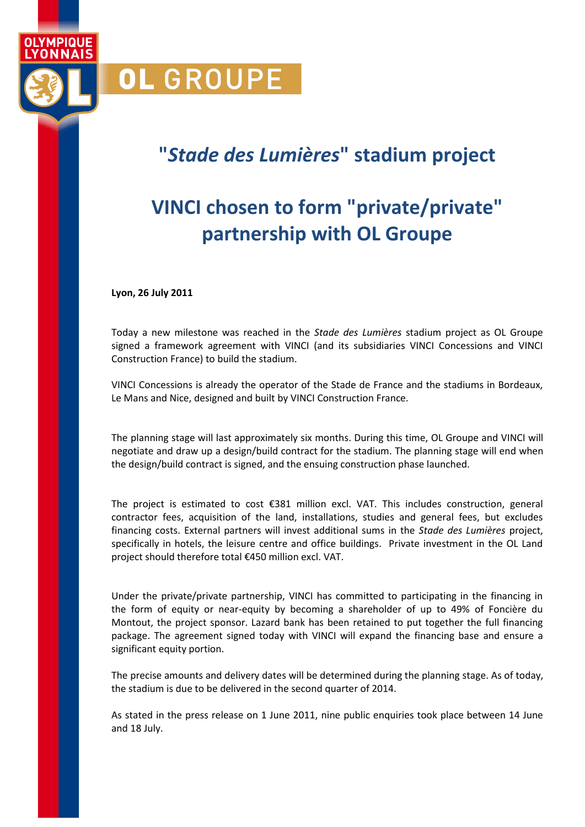**"***Stade des Lumières***" stadium project**

## **VINCI chosen to form "private/private" partnership with OL Groupe**

**Lyon, 26 July 2011**

OL GROUPE

VMDINIIE **ONNAIS** 

> Today a new milestone was reached in the *Stade des Lumières* stadium project as OL Groupe signed a framework agreement with VINCI (and its subsidiaries VINCI Concessions and VINCI Construction France) to build the stadium.

> VINCI Concessions is already the operator of the Stade de France and the stadiums in Bordeaux, Le Mans and Nice, designed and built by VINCI Construction France.

> The planning stage will last approximately six months. During this time, OL Groupe and VINCI will negotiate and draw up a design/build contract for the stadium. The planning stage will end when the design/build contract is signed, and the ensuing construction phase launched.

> The project is estimated to cost €381 million excl. VAT. This includes construction, general contractor fees, acquisition of the land, installations, studies and general fees, but excludes financing costs. External partners will invest additional sums in the *Stade des Lumières* project, specifically in hotels, the leisure centre and office buildings. Private investment in the OL Land project should therefore total €450 million excl. VAT.

> Under the private/private partnership, VINCI has committed to participating in the financing in the form of equity or near-equity by becoming a shareholder of up to 49% of Foncière du Montout, the project sponsor. Lazard bank has been retained to put together the full financing package. The agreement signed today with VINCI will expand the financing base and ensure a significant equity portion.

> The precise amounts and delivery dates will be determined during the planning stage. As of today, the stadium is due to be delivered in the second quarter of 2014.

> As stated in the press release on 1 June 2011, nine public enquiries took place between 14 June and 18 July.